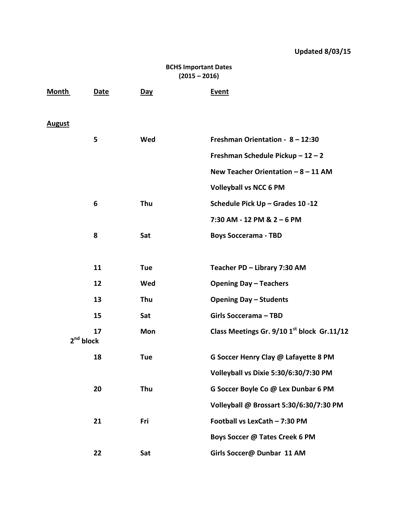## **BCHS Important Dates (2015 – 2016)**

| <b>Month</b>  | Date                  | <u>Day</u> | <b>Event</b>                               |
|---------------|-----------------------|------------|--------------------------------------------|
| <b>August</b> |                       |            |                                            |
|               | 5                     | Wed        | Freshman Orientation - 8 - 12:30           |
|               |                       |            | Freshman Schedule Pickup - 12 - 2          |
|               |                       |            | New Teacher Orientation $-8 - 11$ AM       |
|               |                       |            | <b>Volleyball vs NCC 6 PM</b>              |
|               | 6                     | Thu        | Schedule Pick Up - Grades 10 -12           |
|               |                       |            | 7:30 AM - 12 PM & 2 - 6 PM                 |
|               | 8                     | Sat        | <b>Boys Soccerama - TBD</b>                |
|               |                       |            |                                            |
|               | 11                    | <b>Tue</b> | Teacher PD - Library 7:30 AM               |
|               | 12                    | Wed        | <b>Opening Day - Teachers</b>              |
|               | 13                    | Thu        | <b>Opening Day - Students</b>              |
|               | 15                    | Sat        | <b>Girls Soccerama - TBD</b>               |
|               | 17                    | Mon        | Class Meetings Gr. 9/10 1st block Gr.11/12 |
|               | 2 <sup>nd</sup> block |            |                                            |
|               | 18                    | <b>Tue</b> | G Soccer Henry Clay @ Lafayette 8 PM       |
|               |                       |            | Volleyball vs Dixie 5:30/6:30/7:30 PM      |
|               | 20                    | Thu        | G Soccer Boyle Co @ Lex Dunbar 6 PM        |
|               |                       |            | Volleyball @ Brossart 5:30/6:30/7:30 PM    |
|               | 21                    | Fri        | Football vs LexCath - 7:30 PM              |
|               |                       |            | Boys Soccer @ Tates Creek 6 PM             |
|               | 22                    | Sat        | Girls Soccer@ Dunbar 11 AM                 |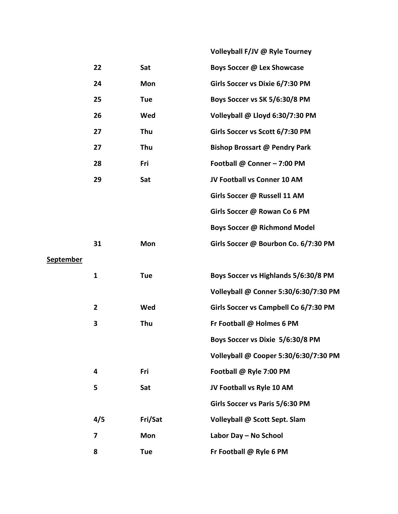|                  |                |            | Volleyball F/JV @ Ryle Tourney        |
|------------------|----------------|------------|---------------------------------------|
|                  | 22             | Sat        | Boys Soccer @ Lex Showcase            |
|                  | 24             | <b>Mon</b> | Girls Soccer vs Dixie 6/7:30 PM       |
|                  | 25             | <b>Tue</b> | Boys Soccer vs SK 5/6:30/8 PM         |
|                  | 26             | Wed        | Volleyball @ Lloyd 6:30/7:30 PM       |
|                  | 27             | Thu        | Girls Soccer vs Scott 6/7:30 PM       |
|                  | 27             | Thu        | <b>Bishop Brossart @ Pendry Park</b>  |
|                  | 28             | Fri        | Football @ Conner - 7:00 PM           |
|                  | 29             | Sat        | JV Football vs Conner 10 AM           |
|                  |                |            | Girls Soccer @ Russell 11 AM          |
|                  |                |            | Girls Soccer @ Rowan Co 6 PM          |
|                  |                |            | Boys Soccer @ Richmond Model          |
|                  | 31             | Mon        | Girls Soccer @ Bourbon Co. 6/7:30 PM  |
| <b>September</b> |                |            |                                       |
|                  | $\mathbf{1}$   | <b>Tue</b> | Boys Soccer vs Highlands 5/6:30/8 PM  |
|                  |                |            | Volleyball @ Conner 5:30/6:30/7:30 PM |
|                  | $\overline{2}$ | Wed        | Girls Soccer vs Campbell Co 6/7:30 PM |
|                  | 3              | Thu        | Fr Football @ Holmes 6 PM             |
|                  |                |            | Boys Soccer vs Dixie 5/6:30/8 PM      |
|                  |                |            | Volleyball @ Cooper 5:30/6:30/7:30 PM |
|                  | 4              | Fri        | Football @ Ryle 7:00 PM               |
|                  | 5              | Sat        | JV Football vs Ryle 10 AM             |
|                  |                |            | Girls Soccer vs Paris 5/6:30 PM       |
|                  | 4/5            | Fri/Sat    | Volleyball @ Scott Sept. Slam         |
|                  | 7              | Mon        | Labor Day - No School                 |
|                  | 8              | Tue        | Fr Football @ Ryle 6 PM               |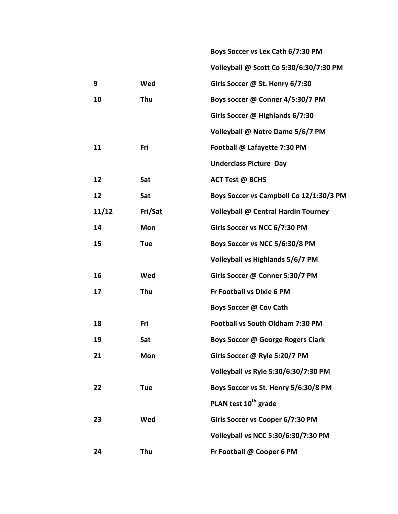|       |            | Boys Soccer vs Lex Cath 6/7:30 PM          |
|-------|------------|--------------------------------------------|
|       |            | Volleyball @ Scott Co 5:30/6:30/7:30 PM    |
| 9     | Wed        | Girls Soccer @ St. Henry 6/7:30            |
| 10    | Thu        | Boys soccer @ Conner 4/5:30/7 PM           |
|       |            | Girls Soccer @ Highlands 6/7:30            |
|       |            | Volleyball @ Notre Dame 5/6/7 PM           |
| 11    | Fri        | Football @ Lafayette 7:30 PM               |
|       |            | <b>Underclass Picture Day</b>              |
| 12    | Sat        | <b>ACT Test @ BCHS</b>                     |
| 12    | Sat        | Boys Soccer vs Campbell Co 12/1:30/3 PM    |
| 11/12 | Fri/Sat    | <b>Volleyball @ Central Hardin Tourney</b> |
| 14    | <b>Mon</b> | Girls Soccer vs NCC 6/7:30 PM              |
| 15    | <b>Tue</b> | Boys Soccer vs NCC 5/6:30/8 PM             |
|       |            | Volleyball vs Highlands 5/6/7 PM           |
| 16    | Wed        | Girls Soccer @ Conner 5:30/7 PM            |
| 17    | Thu        | Fr Football vs Dixie 6 PM                  |
|       |            | Boys Soccer @ Cov Cath                     |
| 18    | Fri        | Football vs South Oldham 7:30 PM           |
| 19    | Sat        | Boys Soccer @ George Rogers Clark          |
| 21    | <b>Mon</b> | Girls Soccer @ Ryle 5:20/7 PM              |
|       |            | Volleyball vs Ryle 5:30/6:30/7:30 PM       |
| 22    | <b>Tue</b> | Boys Soccer vs St. Henry 5/6:30/8 PM       |
|       |            | PLAN test 10 <sup>th</sup> grade           |
| 23    | Wed        | Girls Soccer vs Cooper 6/7:30 PM           |
|       |            | Volleyball vs NCC 5:30/6:30/7:30 PM        |
| 24    | Thu        | Fr Football @ Cooper 6 PM                  |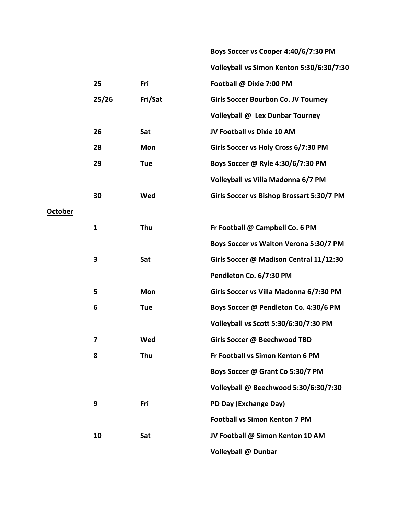|                |              |            | Boys Soccer vs Cooper 4:40/6/7:30 PM       |
|----------------|--------------|------------|--------------------------------------------|
|                |              |            | Volleyball vs Simon Kenton 5:30/6:30/7:30  |
|                | 25           | Fri        | Football @ Dixie 7:00 PM                   |
|                | 25/26        | Fri/Sat    | <b>Girls Soccer Bourbon Co. JV Tourney</b> |
|                |              |            | Volleyball @ Lex Dunbar Tourney            |
|                | 26           | Sat        | JV Football vs Dixie 10 AM                 |
|                | 28           | <b>Mon</b> | Girls Soccer vs Holy Cross 6/7:30 PM       |
|                | 29           | <b>Tue</b> | Boys Soccer @ Ryle 4:30/6/7:30 PM          |
|                |              |            | Volleyball vs Villa Madonna 6/7 PM         |
|                | 30           | Wed        | Girls Soccer vs Bishop Brossart 5:30/7 PM  |
| <b>October</b> |              |            |                                            |
|                | $\mathbf{1}$ | Thu        | Fr Football @ Campbell Co. 6 PM            |
|                |              |            | Boys Soccer vs Walton Verona 5:30/7 PM     |
|                | 3            | Sat        | Girls Soccer @ Madison Central 11/12:30    |
|                |              |            | Pendleton Co. 6/7:30 PM                    |
|                | 5            | Mon        | Girls Soccer vs Villa Madonna 6/7:30 PM    |
|                | 6            | <b>Tue</b> | Boys Soccer @ Pendleton Co. 4:30/6 PM      |
|                |              |            | Volleyball vs Scott 5:30/6:30/7:30 PM      |
|                |              | Wed        | Girls Soccer @ Beechwood TBD               |
|                | 8            | Thu        | Fr Football vs Simon Kenton 6 PM           |
|                |              |            | Boys Soccer @ Grant Co 5:30/7 PM           |
|                |              |            | Volleyball @ Beechwood 5:30/6:30/7:30      |
|                | 9            | Fri        | PD Day (Exchange Day)                      |
|                |              |            | <b>Football vs Simon Kenton 7 PM</b>       |
|                | 10           | Sat        | JV Football @ Simon Kenton 10 AM           |
|                |              |            | Volleyball @ Dunbar                        |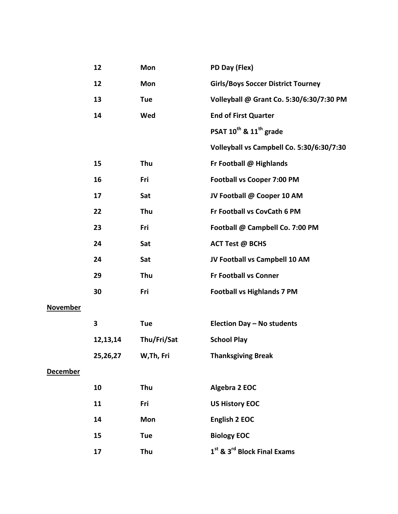|                 | 12       | Mon         | PD Day (Flex)                                       |
|-----------------|----------|-------------|-----------------------------------------------------|
|                 | 12       | Mon         | <b>Girls/Boys Soccer District Tourney</b>           |
|                 | 13       | <b>Tue</b>  | Volleyball @ Grant Co. 5:30/6:30/7:30 PM            |
|                 | 14       | Wed         | <b>End of First Quarter</b>                         |
|                 |          |             | PSAT 10 <sup>th</sup> & 11 <sup>th</sup> grade      |
|                 |          |             | Volleyball vs Campbell Co. 5:30/6:30/7:30           |
|                 | 15       | Thu         | Fr Football @ Highlands                             |
|                 | 16       | Fri         | <b>Football vs Cooper 7:00 PM</b>                   |
|                 | 17       | Sat         | JV Football @ Cooper 10 AM                          |
|                 | 22       | Thu         | Fr Football vs CovCath 6 PM                         |
|                 | 23       | Fri         | Football @ Campbell Co. 7:00 PM                     |
|                 | 24       | Sat         | <b>ACT Test @ BCHS</b>                              |
|                 | 24       | Sat         | JV Football vs Campbell 10 AM                       |
|                 | 29       | Thu         | <b>Fr Football vs Conner</b>                        |
|                 | 30       | Fri         | <b>Football vs Highlands 7 PM</b>                   |
| <b>November</b> |          |             |                                                     |
|                 | 3        | <b>Tue</b>  | Election Day - No students                          |
|                 | 12,13,14 | Thu/Fri/Sat | <b>School Play</b>                                  |
|                 | 25,26,27 | W, Th, Fri  | <b>Thanksgiving Break</b>                           |
| <b>December</b> |          |             |                                                     |
|                 | 10       | Thu         | Algebra 2 EOC                                       |
|                 | 11       | Fri         | <b>US History EOC</b>                               |
|                 | 14       | Mon         | <b>English 2 EOC</b>                                |
|                 | 15       | <b>Tue</b>  | <b>Biology EOC</b>                                  |
|                 | 17       | Thu         | 1 <sup>st</sup> & 3 <sup>rd</sup> Block Final Exams |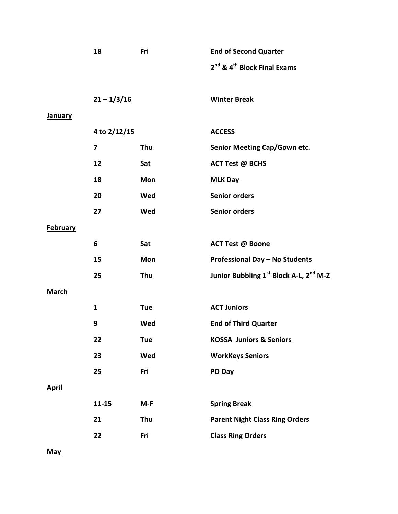|                 | 18                     | Fri        | <b>End of Second Quarter</b>                        |
|-----------------|------------------------|------------|-----------------------------------------------------|
|                 |                        |            | 2 <sup>nd</sup> & 4 <sup>th</sup> Block Final Exams |
|                 |                        |            |                                                     |
|                 | $21 - \frac{1}{3}$ /16 |            | <b>Winter Break</b>                                 |
| <b>January</b>  |                        |            |                                                     |
|                 | 4 to 2/12/15           |            | <b>ACCESS</b>                                       |
|                 | 7                      | Thu        | <b>Senior Meeting Cap/Gown etc.</b>                 |
|                 | 12                     | Sat        | <b>ACT Test @ BCHS</b>                              |
|                 | 18                     | Mon        | <b>MLK Day</b>                                      |
|                 | 20                     | Wed        | <b>Senior orders</b>                                |
|                 | 27                     | Wed        | <b>Senior orders</b>                                |
| <b>February</b> |                        |            |                                                     |
|                 | 6                      | Sat        | <b>ACT Test @ Boone</b>                             |
|                 | 15                     | Mon        | <b>Professional Day - No Students</b>               |
|                 | 25                     | Thu        | Junior Bubbling 1st Block A-L, 2nd M-Z              |
| <b>March</b>    |                        |            |                                                     |
|                 | $\mathbf{1}$           | <b>Tue</b> | <b>ACT Juniors</b>                                  |
|                 | 9                      | Wed        | <b>End of Third Quarter</b>                         |
|                 | 22                     | <b>Tue</b> | <b>KOSSA Juniors &amp; Seniors</b>                  |
|                 | 23                     | Wed        | <b>WorkKeys Seniors</b>                             |
|                 | 25                     | Fri        | PD Day                                              |
| <b>April</b>    |                        |            |                                                     |
|                 | $11 - 15$              | $M-F$      | <b>Spring Break</b>                                 |
|                 | 21                     | Thu        | <b>Parent Night Class Ring Orders</b>               |
|                 | 22                     | Fri        | <b>Class Ring Orders</b>                            |
|                 |                        |            |                                                     |

**May**